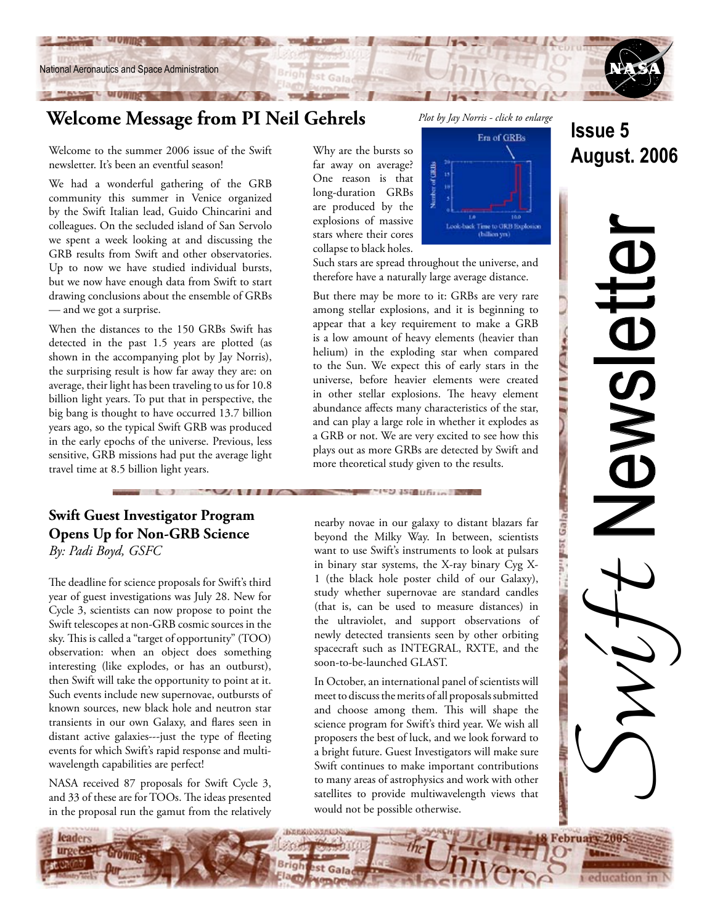

**CONTRACTOR CONTRACTOR** 

## **Welcome Message from PI Neil Gehrels**

Welcome to the summer 2006 issue of the Swift newsletter. It's been an eventful season!

We had a wonderful gathering of the GRB community this summer in Venice organized by the Swift Italian lead, Guido Chincarini and colleagues. On the secluded island of San Servolo we spent a week looking at and discussing the GRB results from Swift and other observatories. Up to now we have studied individual bursts, but we now have enough data from Swift to start drawing conclusions about the ensemble of GRBs — and we got a surprise.

When the distances to the 150 GRBs Swift has detected in the past 1.5 years are plotted (as shown in the accompanying plot by Jay Norris), the surprising result is how far away they are: on average, their light has been traveling to us for 10.8 billion light years. To put that in perspective, the big bang is thought to have occurred 13.7 billion years ago, so the typical Swift GRB was produced in the early epochs of the universe. Previous, less sensitive, GRB missions had put the average light travel time at 8.5 billion light years.

### **Swift Guest Investigator Program Opens Up for Non-GRB Science** *By: Padi Boyd, GSFC*

**The County of the United States** 

The deadline for science proposals for Swift's third year of guest investigations was July 28. New for Cycle 3, scientists can now propose to point the Swift telescopes at non-GRB cosmic sources in the sky. This is called a "target of opportunity" (TOO) observation: when an object does something interesting (like explodes, or has an outburst), then Swift will take the opportunity to point at it. Such events include new supernovae, outbursts of known sources, new black hole and neutron star transients in our own Galaxy, and flares seen in distant active galaxies---just the type of fleeting events for which Swift's rapid response and multiwavelength capabilities are perfect!

NASA received 87 proposals for Swift Cycle 3, and 33 of these are for TOOs. The ideas presented in the proposal run the gamut from the relatively

*Plot by Jay Norris - click to enlarge* 



Such stars are spread throughout the universe, and therefore have a naturally large average distance.

But there may be more to it: GRBs are very rare among stellar explosions, and it is beginning to appear that a key requirement to make a GRB is a low amount of heavy elements (heavier than helium) in the exploding star when compared to the Sun. We expect this of early stars in the universe, before heavier elements were created in other stellar explosions. The heavy element abundance affects many characteristics of the star, and can play a large role in whether it explodes as a GRB or not. We are very excited to see how this plays out as more GRBs are detected by Swift and more theoretical study given to the results.

nearby novae in our galaxy to distant blazars far beyond the Milky Way. In between, scientists want to use Swift's instruments to look at pulsars in binary star systems, the X-ray binary Cyg X-1 (the black hole poster child of our Galaxy), study whether supernovae are standard candles (that is, can be used to measure distances) in the ultraviolet, and support observations of newly detected transients seen by other orbiting spacecraft such as INTEGRAL, RXTE, and the soon-to-be-launched GLAST.

In October, an international panel of scientists will meet to discuss the merits of all proposals submitted and choose among them. This will shape the science program for Swift's third year. We wish all proposers the best of luck, and we look forward to a bright future. Guest Investigators will make sure Swift continues to make important contributions to many areas of astrophysics and work with other satellites to provide multiwavelength views that would not be possible otherwise.

# **Issue 5 August. 2006**

# Switt Newsletter **ONSIGIO**

Galad

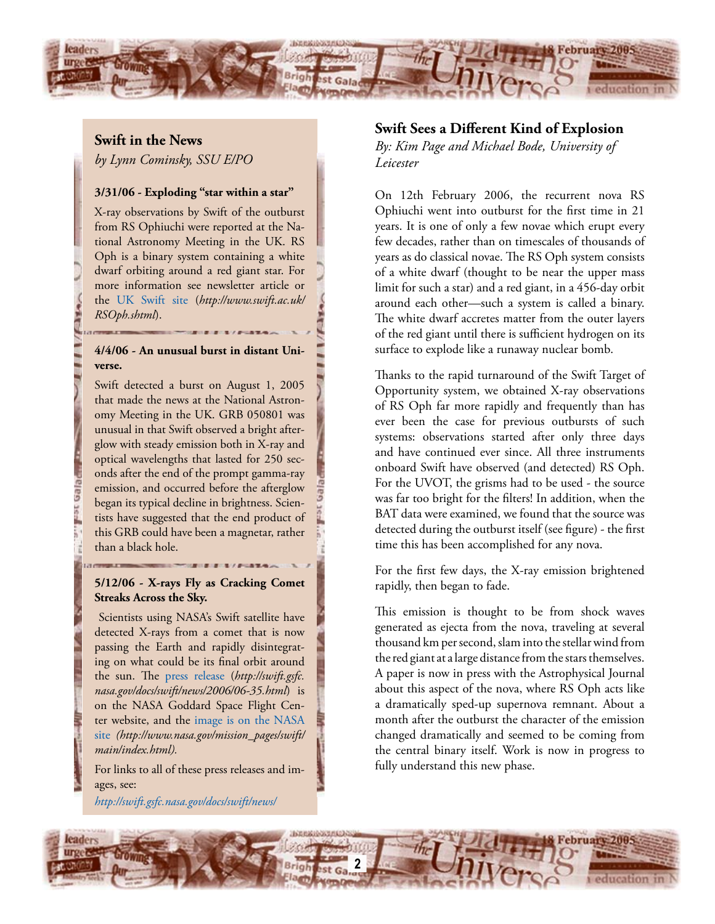

**Swift in the News**

*by Lynn Cominsky, SSU E/PO*

### **3/31/06 - Exploding "star within a star"**

X-ray observations by Swift of the outburst from RS Ophiuchi were reported at the National Astronomy Meeting in the UK. RS Oph is a binary system containing a white dwarf orbiting around a red giant star. For more information see newsletter article or the [UK Swift site](http://www.swift.ac.uk/RSOph.shtml) (*http://www.swift.ac.uk/ RSOph.shtml*).

### **4/4/06 - An unusual burst in distant Universe.**

Swift detected a burst on August 1, 2005 that made the news at the National Astronomy Meeting in the UK. GRB 050801 was unusual in that Swift observed a bright afterglow with steady emission both in X-ray and optical wavelengths that lasted for 250 seconds after the end of the prompt gamma-ray emission, and occurred before the afterglow began its typical decline in brightness. Scientists have suggested that the end product of this GRB could have been a magnetar, rather than a black hole.

### **5/12/06 - X-rays Fly as Cracking Comet Streaks Across the Sky.**

 Scientists using NASA's Swift satellite have detected X-rays from a comet that is now passing the Earth and rapidly disintegrating on what could be its final orbit around the sun. The [press release](http://swift.gsfc.nasa.gov/docs/swift/news/2006/06-35.html) (*http://swift.gsfc. nasa.gov/docs/swift/news/2006/06-35.html*) is on the NASA Goddard Space Flight Center website, and the [image is on the NASA](http://www.nasa.gov/mission_pages/swift/main/index.html)  [site](http://www.nasa.gov/mission_pages/swift/main/index.html) *(http://www.nasa.gov/mission\_pages/swift/ main/index.html).*

ages, see: *<http://swift.gsfc.nasa.gov/docs/swift/news/>*

For links to all of these press releases and im-

### **Swift Sees a Different Kind of Explosion**

*By: Kim Page and Michael Bode, University of Leicester*

On 12th February 2006, the recurrent nova RS Ophiuchi went into outburst for the first time in 21 years. It is one of only a few novae which erupt every few decades, rather than on timescales of thousands of years as do classical novae. The RS Oph system consists of a white dwarf (thought to be near the upper mass limit for such a star) and a red giant, in a 456-day orbit around each other—such a system is called a binary. The white dwarf accretes matter from the outer layers of the red giant until there is sufficient hydrogen on its surface to explode like a runaway nuclear bomb.

Thanks to the rapid turnaround of the Swift Target of Opportunity system, we obtained X-ray observations of RS Oph far more rapidly and frequently than has ever been the case for previous outbursts of such systems: observations started after only three days and have continued ever since. All three instruments onboard Swift have observed (and detected) RS Oph. For the UVOT, the grisms had to be used - the source was far too bright for the filters! In addition, when the BAT data were examined, we found that the source was detected during the outburst itself (see figure) - the first time this has been accomplished for any nova.

For the first few days, the X-ray emission brightened rapidly, then began to fade.

This emission is thought to be from shock waves generated as ejecta from the nova, traveling at several thousand km per second, slam into the stellar wind from the red giant at a large distance from the stars themselves. A paper is now in press with the Astrophysical Journal about this aspect of the nova, where RS Oph acts like a dramatically sped-up supernova remnant. About a month after the outburst the character of the emission changed dramatically and seemed to be coming from the central binary itself. Work is now in progress to fully understand this new phase.

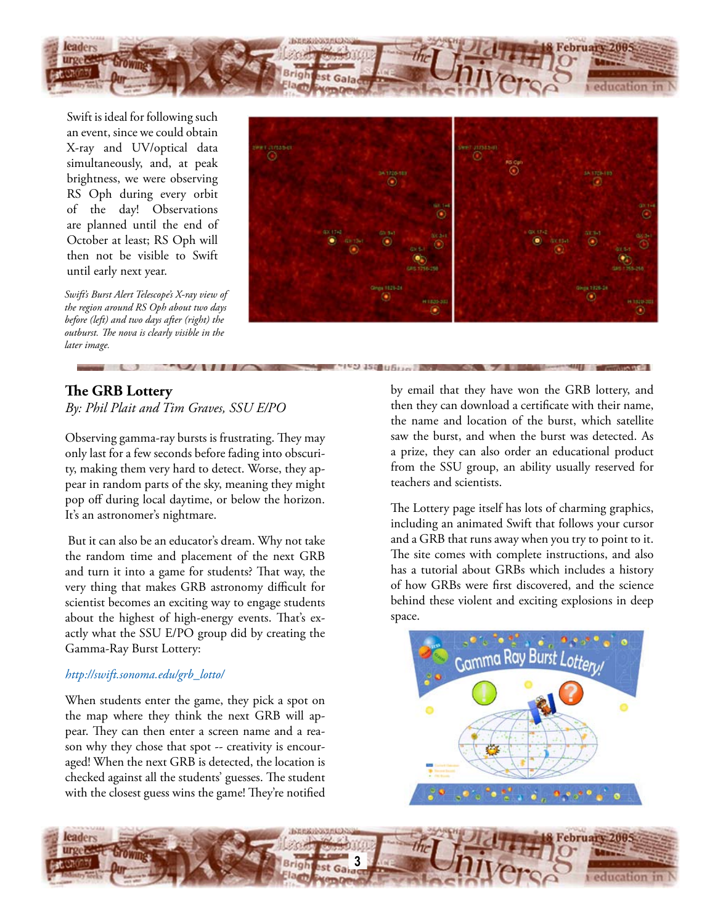

Swift is ideal for following such an event, since we could obtain X-ray and UV/optical data simultaneously, and, at peak brightness, we were observing RS Oph during every orbit of the day! Observations are planned until the end of October at least; RS Oph will then not be visible to Swift until early next year.

*Swift's Burst Alert Telescope's X-ray view of the region around RS Oph about two days before (left) and two days after (right) the outburst. The nova is clearly visible in the later image.*



### **The GRB Lottery**

*By: Phil Plait and Tim Graves, SSU E/PO*

Observing gamma-ray bursts is frustrating. They may only last for a few seconds before fading into obscurity, making them very hard to detect. Worse, they appear in random parts of the sky, meaning they might pop off during local daytime, or below the horizon. It's an astronomer's nightmare.

 But it can also be an educator's dream. Why not take the random time and placement of the next GRB and turn it into a game for students? That way, the very thing that makes GRB astronomy difficult for scientist becomes an exciting way to engage students about the highest of high-energy events. That's exactly what the SSU E/PO group did by creating the Gamma-Ray Burst Lottery:

### *[http://swift.sonoma.edu/grb\\_lotto/](http://swift.sonoma.edu/grb_lotto/)*

When students enter the game, they pick a spot on the map where they think the next GRB will appear. They can then enter a screen name and a reason why they chose that spot -- creativity is encouraged! When the next GRB is detected, the location is checked against all the students' guesses. The student with the closest guess wins the game! They're notified by email that they have won the GRB lottery, and then they can download a certificate with their name, the name and location of the burst, which satellite saw the burst, and when the burst was detected. As a prize, they can also order an educational product from the SSU group, an ability usually reserved for teachers and scientists.

The Lottery page itself has lots of charming graphics, including an animated Swift that follows your cursor and a GRB that runs away when you try to point to it. The site comes with complete instructions, and also has a tutorial about GRBs which includes a history of how GRBs were first discovered, and the science behind these violent and exciting explosions in deep space.